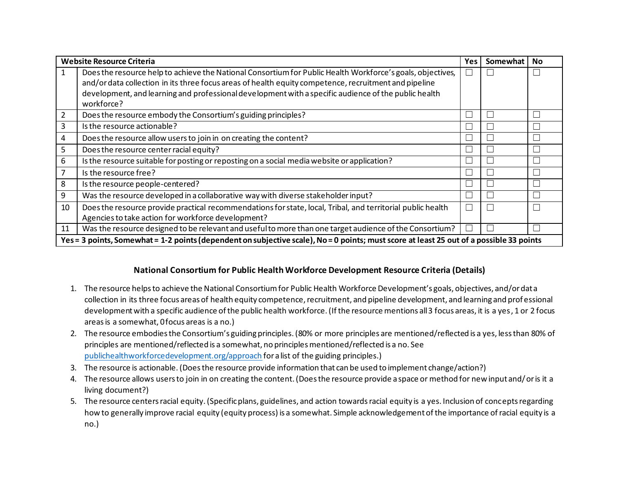| <b>Website Resource Criteria</b>                                                                                                         |                                                                                                             | Yes | Somewhat | <b>No</b> |
|------------------------------------------------------------------------------------------------------------------------------------------|-------------------------------------------------------------------------------------------------------------|-----|----------|-----------|
| 1                                                                                                                                        | Does the resource help to achieve the National Consortium for Public Health Workforce's goals, objectives,  |     |          |           |
|                                                                                                                                          | and/or data collection in its three focus areas of health equity competence, recruitment and pipeline       |     |          |           |
|                                                                                                                                          | development, and learning and professional development with a specific audience of the public health        |     |          |           |
|                                                                                                                                          | workforce?                                                                                                  |     |          |           |
| 2                                                                                                                                        | Does the resource embody the Consortium's guiding principles?                                               |     |          |           |
| 3                                                                                                                                        | Is the resource actionable?                                                                                 |     |          |           |
| 4                                                                                                                                        | Does the resource allow users to join in on creating the content?                                           |     |          |           |
| 5                                                                                                                                        | Does the resource center racial equity?                                                                     |     |          |           |
| 6                                                                                                                                        | Is the resource suitable for posting or reposting on a social media website or application?                 | ப   |          |           |
| 7                                                                                                                                        | Is the resource free?                                                                                       |     |          |           |
| 8                                                                                                                                        | Is the resource people-centered?                                                                            |     |          |           |
| 9                                                                                                                                        | Was the resource developed in a collaborative way with diverse stakeholder input?                           |     |          |           |
| 10                                                                                                                                       | Does the resource provide practical recommendations for state, local, Tribal, and territorial public health |     |          |           |
|                                                                                                                                          | Agencies to take action for workforce development?                                                          |     |          |           |
| 11                                                                                                                                       | Was the resource designed to be relevant and useful to more than one target audience of the Consortium?     | n d |          |           |
| Yes = 3 points, Somewhat = 1-2 points (dependent on subjective scale), No = 0 points; must score at least 25 out of a possible 33 points |                                                                                                             |     |          |           |

## **National Consortium for Public Health Workforce Development Resource Criteria (Details)**

- 1. The resource helps to achieve the National Consortium for Public Health Workforce Development's goals, objectives, and/or data collection in its three focus areas of health equity competence, recruitment, and pipeline development, and learning and prof essional development with a specific audience of the public health workforce. (If the resource mentions all 3 focus areas, it is a yes, 1 or 2 focus areasis a somewhat, 0focus areas is a no.)
- 2. The resource embodies the Consortium's guiding principles. (80% or more principles are mentioned/reflected is a yes, less than 80% of principles are mentioned/reflected is a somewhat, no principles mentioned/reflected is a no. See publichealthworkforcedevelopment.org/approach for alist of the guiding principles.)
- 3. The resource is actionable. (Doesthe resource provide information that can be used to implement change/action?)
- 4. The resource allows users to join in on creating the content. (Does the resource provide a space or method for new input and/or is it a living document?)
- 5. The resource centers racial equity. (Specific plans, guidelines, and action towards racial equity is a yes. Inclusion of concepts regarding how to generally improve racial equity (equity process) is a somewhat. Simple acknowledgement of the importance of racial equity is a no.)